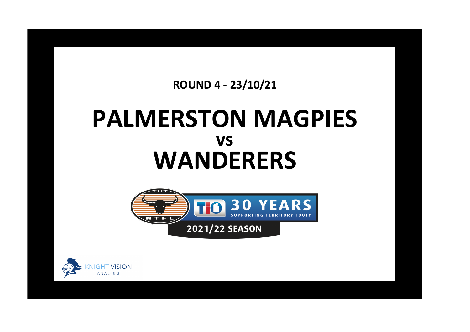## **ROUND 4 - 23/10/21**

## **PALMERSTON MAGPIES WANDERERS vs**



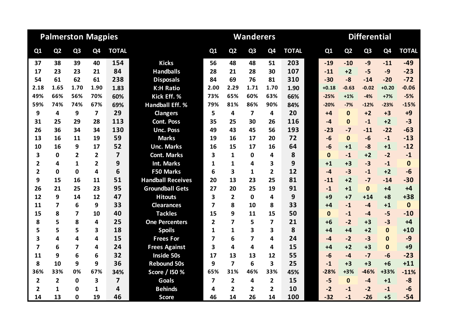| <b>Palmerston Magpies</b> |                         |                |                         |                         |                          |                         |                         | <b>Wanderers</b> |                |              | <b>Differential</b> |                |                |                |              |  |
|---------------------------|-------------------------|----------------|-------------------------|-------------------------|--------------------------|-------------------------|-------------------------|------------------|----------------|--------------|---------------------|----------------|----------------|----------------|--------------|--|
| Q <sub>1</sub>            | Q <sub>2</sub>          | Q <sub>3</sub> | Q4                      | <b>TOTAL</b>            |                          | Q1                      | Q <sub>2</sub>          | Q <sub>3</sub>   | Q <sub>4</sub> | <b>TOTAL</b> | Q1                  | Q <sub>2</sub> | Q <sub>3</sub> | Q <sub>4</sub> | <b>TOTAL</b> |  |
| 37                        | 38                      | 39             | 40                      | 154                     | <b>Kicks</b>             | 56                      | 48                      | 48               | 51             | 203          | $-19$               | $-10$          | $-9$           | $-11$          | $-49$        |  |
| 17                        | 23                      | 23             | 21                      | 84                      | <b>Handballs</b>         | 28                      | 21                      | 28               | 30             | 107          | $-11$               | $+2$           | $-5$           | $-9$           | $-23$        |  |
| 54                        | 61                      | 62             | 61                      | 238                     | <b>Disposals</b>         | 84                      | 69                      | 76               | 81             | 310          | $-30$               | $-8$           | $-14$          | $-20$          | $-72$        |  |
| 2.18                      | 1.65                    | 1.70           | 1.90                    | 1.83                    | <b>K:H Ratio</b>         | 2.00                    | 2.29                    | 1.71             | 1.70           | 1.90         | $+0.18$             | $-0.63$        | $-0.02$        | $+0.20$        | $-0.06$      |  |
| 49%                       | 66%                     | 56%            | 70%                     | 60%                     | Kick Eff. %              | 73%                     | 65%                     | 60%              | 63%            | 66%          | $-25%$              | $+1%$          | $-4%$          | $+7%$          | $-5%$        |  |
| 59%                       | 74%                     | 74%            | 67%                     | 69%                     | <b>Handball Eff. %</b>   | 79%                     | 81%                     | 86%              | 90%            | 84%          | $-20%$              | $-7%$          | $-12%$         | $-23%$         | $-15%$       |  |
| 9                         | 4                       | 9              | $\overline{\mathbf{z}}$ | 29                      | <b>Clangers</b>          | 5                       | 4                       | $\overline{7}$   | 4              | 20           | $+4$                | $\Omega$       | $+2$           | $+3$           | $+9$         |  |
| 31                        | 25                      | 29             | 28                      | 113                     | <b>Cont. Poss</b>        | 35                      | 25                      | 30               | 26             | 116          | $-4$                | $\Omega$       | $-1$           | $+2$           | $-3$         |  |
| 26                        | 36                      | 34             | 34                      | 130                     | <b>Unc. Poss</b>         | 49                      | 43                      | 45               | 56             | 193          | $-23$               | $-7$           | $-11$          | $-22$          | $-63$        |  |
| 13                        | 16                      | 11             | 19                      | 59                      | <b>Marks</b>             | 19                      | 16                      | 17               | 20             | 72           | $-6$                | $\mathbf{0}$   | $-6$           | $-1$           | $-13$        |  |
| 10                        | 16                      | 9              | 17                      | 52                      | <b>Unc. Marks</b>        | 16                      | 15                      | 17               | 16             | 64           | $-6$                | $+1$           | $-8$           | $+1$           | $-12$        |  |
| 3                         | 0                       | $\overline{2}$ | $\overline{2}$          | $\overline{\mathbf{z}}$ | <b>Cont. Marks</b>       | 3                       | $\mathbf{1}$            | 0                | 4              | 8            | $\mathbf{0}$        | $-1$           | $+2$           | $-2$           | $-1$         |  |
| $\overline{2}$            | 4                       | $\mathbf{1}$   | $\overline{2}$          | 9                       | <b>Int. Marks</b>        | 1                       | $\mathbf{1}$            | 4                | 3              | 9            | $+1$                | $+3$           | $-3$           | $-1$           | $\bf{0}$     |  |
| $\overline{2}$            | 0                       | $\mathbf{0}$   | 4                       | 6                       | <b>F50 Marks</b>         | 6                       | $\overline{\mathbf{3}}$ | $\mathbf{1}$     | $\overline{2}$ | 12           | $-4$                | $-3$           | $-1$           | $+2$           | $-6$         |  |
| 9                         | 15                      | 16             | 11                      | 51                      | <b>Handball Receives</b> | 20                      | 13                      | 23               | 25             | 81           | $-11$               | $+2$           | $-7$           | $-14$          | $-30$        |  |
| 26                        | 21                      | 25             | 23                      | 95                      | <b>Groundball Gets</b>   | 27                      | 20                      | 25               | 19             | 91           | $-1$                | $+1$           | $\mathbf{0}$   | $+4$           | $+4$         |  |
| 12                        | 9                       | 14             | 12                      | 47                      | <b>Hitouts</b>           | 3                       | $\overline{2}$          | $\mathbf 0$      | 4              | 9            | $+9$                | $+7$           | $+14$          | $+8$           | $+38$        |  |
| 11                        | $\overline{7}$          | 6              | 9                       | 33                      | <b>Clearances</b>        | 7                       | 8                       | 10               | 8              | 33           | $+4$                | $-1$           | $-4$           | $+1$           | $\mathbf 0$  |  |
| 15                        | 8                       | $\overline{7}$ | 10                      | 40                      | <b>Tackles</b>           | 15                      | 9                       | 11               | 15             | 50           | $\mathbf{0}$        | $-1$           | $-4$           | $-5$           | $-10$        |  |
| 8                         | 5                       | 8              | 4                       | 25                      | <b>One Percenters</b>    | $\overline{2}$          | $\overline{7}$          | 5                | 7              | 21           | $+6$                | $-2$           | $+3$           | $-3$           | $+4$         |  |
| 5                         | 5                       | 5              | 3                       | 18                      | <b>Spoils</b>            | 1                       | 1                       | 3                | 3              | 8            | $+4$                | $+4$           | $+2$           | $\mathbf{0}$   | $+10$        |  |
| $\overline{\mathbf{3}}$   | 4                       | 4              | 4                       | 15                      | <b>Frees For</b>         | 7                       | 6                       | 7                | 4              | 24           | $-4$                | $-2$           | $-3$           | $\bf{0}$       | $-9$         |  |
| $\overline{7}$            | 6                       | 7              | 4                       | 24                      | <b>Frees Against</b>     | 3                       | 4                       | 4                | 4              | 15           | $+4$                | $+2$           | $+3$           | $\mathbf{0}$   | $+9$         |  |
| 11                        | 9                       | 6              | 6                       | 32                      | <b>Inside 50s</b>        | 17                      | 13                      | 13               | 12             | 55           | $-6$                | $-4$           | $-7$           | $-6$           | $-23$        |  |
| 8                         | 10                      | 9              | 9                       | 36                      | <b>Rebound 50s</b>       | 9                       | $\overline{\mathbf{z}}$ | 6                | 3              | 25           | $-1$                | $+3$           | $+3$           | $+6$           | $+11$        |  |
| 36%                       | 33%                     | 0%             | 67%                     | 34%                     | Score / 150 %            | 65%                     | 31%                     | 46%              | 33%            | 45%          | $-28%$              | $+3%$          | $-46%$         | +33%           | $-11%$       |  |
| $\overline{\mathbf{2}}$   | $\overline{\mathbf{2}}$ | $\mathbf 0$    | 3                       | $\overline{\mathbf{z}}$ | <b>Goals</b>             | $\overline{\mathbf{z}}$ | $\overline{2}$          | 4                | $\overline{2}$ | 15           | $-5$                | $\mathbf{0}$   | $-4$           | $+1$           | $-8$         |  |
| $\overline{2}$            | 1                       | $\mathbf{0}$   | 1                       | 4                       | <b>Behinds</b>           | 4                       | $\overline{2}$          | $\overline{2}$   | $\overline{2}$ | 10           | $-2$                | $-1$           | $-2$           | $-1$           | $-6$         |  |
| 14                        | 13                      | $\mathbf{0}$   | 19                      | 46                      | <b>Score</b>             | 46                      | 14                      | 26               | 14             | 100          | $-32$               | $-1$           | $-26$          | $+5$           | $-54$        |  |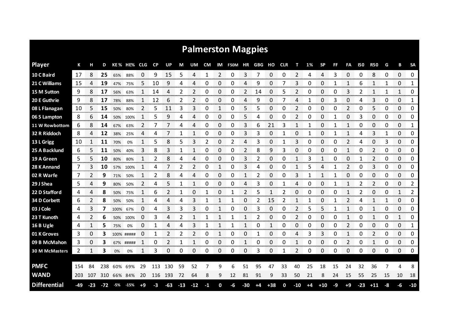| <b>Palmerston Magpies</b> |     |              |     |      |            |            |      |     |       |       |      |   |                   |       |      |       |     |       |      |           |    |              |                |            |    |    |              |
|---------------------------|-----|--------------|-----|------|------------|------------|------|-----|-------|-------|------|---|-------------------|-------|------|-------|-----|-------|------|-----------|----|--------------|----------------|------------|----|----|--------------|
| <b>Player</b>             | К   |              | D   |      | KE % HE%   | <b>CLG</b> | CP   | UP  | М     | UM    | CM   |   | IM F50M HR GBG HO |       |      |       | CLR | т     | 1%   | <b>SP</b> | FF | FA           | 150            | <b>R50</b> | G  | в  | <b>SA</b>    |
| 10 C Baird                | 17  | 8            | 25  | 65%  | 88%        | 0          | 9    | 15  | 5     | 4     | 1    | 2 | 0                 | 3     | 7    | 0     | 0   | 2     | 4    | 4         | 3  | 0            | 0              | 8          | 0  | 0  | 0            |
| 21 C Williams             | 15  | 4            | 19  | 47%  | 75%        | 5          | 10   | 9   | 4     | 4     | 0    | 0 | 0                 | 4     | 9    | 0     | 7   | 3     | 0    | 0         | 1  | 1            | 6              | 1          | 1  | 0  | 1            |
| 15 M Sutton               | 9   | 8            | 17  | 56%  | 63%        |            | 14   | Δ   | 2     | 2     | 0    | 0 | 0                 | 2     | 14   | 0     | 5   | 2     | 0    | 0         | 0  | 3            | $\overline{2}$ | 1          |    | 1  | 0            |
| 20 E Guthrie              | 9   | 8            | 17  | 78%  | 88%        | 1          | 12   | 6   | 2     | 2     | 0    | 0 | 0                 | 4     | 9    | 0     | 7   | 4     | 1    | 0         | 3  | 0            | 4              | 3          | 0  | 0  | 1            |
| 08 L Flanagan             | 10  | 5            | 15  | 50%  | 80%        | 2          | 5    | 11  | 3     | 3     | 0    | 1 | 0                 | 5     | 5    | 0     | 0   | 2     | 0    | 0         | 0  | 2            | 0              | 5          | 0  | 0  | 0            |
| 06 S Lampton              | 8   | 6            | 14  | 50%  | 100%       | 1          | 5    | 9   | 4     | 4     | 0    | 0 | 0                 | 5     | 4    | 0     | 0   | 2     | 0    | 0         | 1  | 0            | 3              | 0          | 0  | 0  | 0            |
| 11 W Rowbottom            | 6   |              | 14  | 67%  | 63%        | 2          | 7    |     | 4     | 4     | 0    | 0 | 0                 | 3     | 6    | 21    |     | 1     |      | 0         |    | 1            | 0              | 0          | 0  | 0  | 1            |
| 32 R Riddoch              | 8   | 4            | 12  | 38%  | 25%        | 4          | 4    | 7   | 1     | 1     | 0    | 0 | 0                 | 3     | 3    | 0     | 1   | 0     | 1    | 0         | 1  | 1            | 4              | 3          | 1  | 0  | 0            |
| 13 L Grigg                | 10  | 1            | 11  | 70%  | 0%         | 1          | 5    | 8   | 5     | 3     | 2    | 0 | 2                 | 4     | 3    | 0     | 1   | 3     | 0    | 0         | 0  | 2            | 4              | 0          | 3  | 0  | 0            |
| 25 A Backlund             | 6   | 5.           | 11  | 50%  | 40%        | 3          | 8    | 3   | 1     | 1     | 0    | 0 | 0                 | 2     | 8    | 9     | 3   | 0     | 0    | 0         | 0  | $\mathbf{1}$ | 0              | 2          | 0  | 0  | 0            |
| 19 A Green                | 5   |              | 10  | 80%  | 80%        |            | 2    | 8   | 4     | 4     | 0    | 0 | 0                 | 3     | 2    | 0     | 0   | 1     | 3    | 1         | 0  | 0            |                | 2          | 0  | 0  | 0            |
| 28 K Annand               | 7   | 3            | 10  | 57%  | 100%       | 1          | 4    | 7   | 2     | 2     | 0    | 1 | 0                 | 3     | 4    | 0     | 0   | 1     | 5    | 4         | 1  | 2            | 0              | 3          | 0  | 0  | 0            |
| 02 R Warfe                | 7   | 2            | 9   | 71%  | 50%        | 1          | 2    | 8   | 4     | 4     | 0    | 0 | 0                 | 1     | 2    | 0     | 0   | 3     | 1    | 1         | 1  | 0            | 0              | 0          | 0  | 0  | 0            |
| 29 J Shea                 | 5.  | 4            | 9   | 80%  | 50%        | 2          | 4    | 5   | 1     | 1     | 0    | 0 | 0                 | 4     | 3    | 0     | 1   | 4     | 0    | 0         | 1  | 1            | 2              | 2          | 0  | 0  | 2            |
| 22 D Stafford             | 4   | 4            | 8   | 50%  | 75%        |            | 6    | 2   |       | ი     |      | 0 |                   | 2     | 5    |       | 2   | 0     | ი    | 0         | 0  |              | 2              | 0          | 0  | 1  | 2            |
| 34 D Corbett              | 6   | 2            | 8   | 50%  | 50%        |            | 4    | 4   | 4     | 3     |      |   |                   | 0     | 2    | 15    | 2   |       |      | 0         |    |              | Δ              |            |    | 0  | 0            |
| 03 J Cole                 | 4   | 3            |     | 100% | 67%        | 0          | 4    | 3   | 3     | 3     | 0    |   | 0                 | 0     | 3    | 0     | 0   |       | 5    | 5         |    |              | 0              |            | 0  | 0  | 0            |
| 23 T Kunoth               | 4   |              | 6   | 50%  | 100%       | 0          | 3    |     |       |       |      |   |                   |       |      | 0     |     |       | 0    | 0         | 0  |              | 0              |            | 0  | 1  | 0            |
| 16 B Ugle                 | 4   | 1            | 5   | 75%  | 0%         | 0          |      |     | 4     | 3     |      |   |                   |       | 0    |       | 0   | 0     | 0    | 0         | 0  | 2            | C              | 0          | 0  | 0  | 1            |
| 01 K Groves               | 3   | 0            | З   |      | 100% ##### | 0          |      | 2   | 2     | 2     | 0    | 1 | 0                 | 0     |      | 0     | 0   | 4     | 3    | 3         | 0  | 1            | 0              | 2          | 0  | 0  | 0<br>ananana |
| 09 B McMahon              | 3   | 0            | 3   | 67%  | #####      |            | 0    | 2   | 1     |       | 0    | 0 | 0                 |       | 0    | 0     | 0   |       | Ω    | 0         | 0  | 2            | 0              |            | 0  | 0  | 0            |
| <b>30 M McMasters</b>     | 2   | $\mathbf{1}$ | 3   | 0%   | 0%         |            | 3    | 0   | 0     | 0     | 0    | 0 | 0                 | 0     | 3    | 0     | 1   | 2     | 0    | 0         | 0  | 0            | 0              | 0          | 0  | 0  | 0            |
|                           |     |              |     |      |            |            |      |     |       |       |      |   |                   |       |      |       |     |       |      |           |    |              |                |            |    |    |              |
| <b>PMFC</b>               | 154 | 84           | 238 |      | 60% 69%    | 29         | 113  | 130 | 59    | 52    |      | 9 | 6                 | 51    | 95   | 47    | 33  | 40    | 25   | 18        | 15 | 24           | 32             | 36         |    | 4  | 8            |
| <b>WAND</b>               | 203 | 107          | 310 |      | 66% 84%    | 20         | 116  | 193 | 72    | 64    | 8    | 9 | 12                | 81    | 91   | 9     | 33  | 50    | 21   | 8         | 24 | 15           | 55             | 25         | 15 | 10 | 18           |
| <b>Differential</b>       | -49 | $-23$        | -72 | -5%  | $-15%$     | $+9$       | $-3$ | -63 | $-13$ | $-12$ | $-1$ | 0 | -6                | $-30$ | $+4$ | $+38$ | 0   | $-10$ | $+4$ | $+10$     | -9 | $+9$         | $-23$          | $+11$      | -8 | -6 | $-10$        |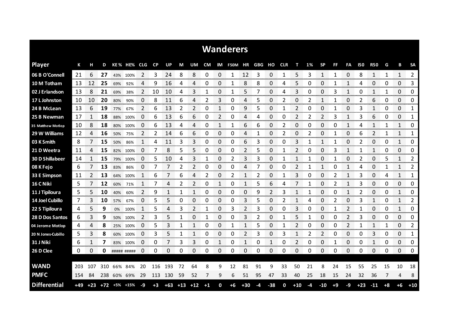|                        | <b>Wanderers</b> |       |       |             |             |      |      |           |       |       |                |              |              |                |            |       |            |                |          |           |      |              |            |                |      |             |               |
|------------------------|------------------|-------|-------|-------------|-------------|------|------|-----------|-------|-------|----------------|--------------|--------------|----------------|------------|-------|------------|----------------|----------|-----------|------|--------------|------------|----------------|------|-------------|---------------|
| <b>Player</b>          | К                | н     | D     |             | KE% HE%     | CLG. | CP   | <b>UP</b> | М     | UM    | <b>CM</b>      | IM           | F50M         | ΗR             | <b>GBG</b> | но    | <b>CLR</b> | т              | 1%       | <b>SP</b> | FF   | FA           | <b>150</b> | <b>R50</b>     | G    | B           | <b>SA</b>     |
| 06 B O'Connell         | 21               | 6     | 27    |             | 43% 100%    | 2    | 3    | 24        | 8     | 8     | 0              | 0            | $\mathbf{1}$ | 12             | 3          | 0     | 1          | 5              | 3        | 1         | 1    | 0            | 8          | $\mathbf{1}$   | 1    | 1           | 2             |
| 10 M Totham            | 13               | 12    | 25    | 69%         | 92%         | 4    | 9    | 16        | 4     | 4     | 0              | 0            | 1            | 8              | 8          | 0     | 4          | 5              | Ω        | 0         | 1    | 1            | 4          | 0              | 0    | 0           | 3             |
| 02 J Erlandson         | -13              | 8     | 21    | 69%         | 38%         | 2    | 10   | 10        | 4     | 3     | 1              | 0            | 1            | 5              | 7          | 0     | 4          | 3              | 0        | 0         | 3    | 1            | 0          | 1              | 1    | 0           | 0             |
| 17 L Johnston          | -10              | 10    | 20    | 80%         | 90%         | 0    | 8    | 11        | 6     | 4     | $\overline{2}$ | 3            | 0            | 4              | 5          | 0     | 2          | 0              | 2        | 1         | 1    | 0            | 2          | 6              | 0    | 0           | 0             |
| 24 B McLean            | 13               | 6     | 19    | 77%         | 67%         | 2    | 6    | 13        | 2     | 2     | 0              | 1            | 0            | 9              | 5          | 0     | 1          | $\overline{2}$ | $\Omega$ | 0         | 1    | 0            | 3          | $\mathbf{1}$   | 0    | 0           | 1             |
| 25 B Newman            | 17               | 1     | 18    | 88%         | 100%        | 0    | 6    | 13        | 6     | 6     | 0              | 2            | 0            | 4              | 4          | 0     | 0          | 2              | 2        | 2         | 3    | 1            | 3          | 6              | 0    | 0           | 1             |
| 35 Matthew Motlop      | -10              | 8     | 18    | 80%         | 100%        | 0    | 6    | 13        | 4     | 4     | 0              | 1            | 1            | 6              | 6          | 0     | 2          | 0              | 0        | 0         | 0    | 1            | 4          | 1              | 1    | 1           | 0             |
| 29 W Williams          | 12               | 4     | 16    | 50%         | 75%         | 2    | 2    | 14        | 6     | 6     | 0              | 0            | 0            | 4              | 1          | 0     | 2          | $\Omega$       | 2        | 0         | 1    | 0            | 6          | $\overline{2}$ | 1    | 1           | 1             |
| 03 K Smith             | 8                | 7     | 15    | 50%         | 86%         | 1    | 4    | 11        | 3     | 3     | 0              | 0            | 0            | 6              | 3          | 0     | 0          | 3              | 1        | 1         | 1    | 0            | 2          | 0              | 0    | 1           | 0             |
| 21 D Weetra            | 11               | 4     | 15    | 82%         | 100%        | 0    | 7    | 8         | 5     | 5     | 0              | 0            | 0            | $\overline{2}$ | 5          | 0     | 1          | 2              | 0        | 0         | 3    | $\mathbf{1}$ |            | $\mathbf{1}$   | 0    | 0           | 0             |
| <b>30 D Shillabeer</b> | 14               | 1     | 15    | 79%         | 100%        | 0    | 5    | 10        | 4     | 3     | 1              | 0            | 2            | 3              | 3          | 0     |            |                |          | 0         | 1    | 0            | 2          | 0              | 5    | 1           | 2             |
| 08 K Fejo              | 6                | 7     | 13    | 83%         | 86%         | 0    | 7    | 7         | 2     | 2     | 0              | 0            | 0            | 4              | 7          | 0     | 0          | 2              |          | 1         | 0    | $\mathbf{1}$ | 4          | 0              | 1    | 1           | 2             |
| 33 E Simpson           | 11               | 2     | 13    | 64%         | 100%        |      | 6    | 7         | 6     | 4     | $\overline{2}$ | 0            | 2            | 1              | 2          | 0     |            | 3              | 0        | 0         | 2    | 1            | 3          | 0              | 4    | 1           | 1             |
| 16 C Niki              | 5                | 7     | 12    | 60%         | 71%         | 1    |      | 4         | 2     | 2     | 0              |              | 0            | 1              | 5          | 6     | 4          | 7              |          | 0         | 2    | 1            | 3          | 0              | 0    | 0           | 0             |
| 11 J Tipiloura         | 5                | 5     | 10    | 40%         | 60%         | 2    | 9    | 1         | 1     | 1     | 0              | 0            | 0            | 0              | 9          | 2     | 3          |                | 1        | 0         | 0    | $\mathbf{1}$ | 2          | 0              | 0    | 1           | 0             |
| 14 Joel Cubillo        | 7                | 3     | 10    | 57%         | 67%         | 0    | 5    | 5         | 0     | 0     | 0              | 0            | 0            | 3              | 5          | 0     | 2          |                | 4        | 0         | 2    | 0            | 3          | 1              | 0    | 1           | 2<br>mon      |
| 22 S Tipiloura         | 4                | 5     | 9     | 0%          | 100%        | 1    | 5    | 4         | 3     | 2     | 1              | 0            | 3            | 2              | 3          | 0     | 0          | 3              | 0        | 0         | 1    | 2            |            | 0              | 0    | 1           | 0             |
| 28 D Dos Santos        | 6                | 3     | 9     |             | 50% 100%    | 2    | 3    | 5         | 1     | 0     | 1              | 0            | 0            | 3              | 2          | 0     |            | 5              |          | 0         | 0    | 2            | 3          | 0              | 0    | 0           | 0             |
| 04 Jerome Motlop       | 4                | 4     | 8     |             | 25% 100%    | 0    | 5    | 3         | 1     | 1     | 0              | 0            | 1            | 1              | 5          | 0     | 1          | 2              | 0        | 0         | 0    | 2            |            | 1              | 1    | 0           | 2<br>محصود    |
| 20 N Jones-Cubillo     | 5                | 3     | 8     |             | 60% 100%    | 0    | 3    | 5         | 1     | 1     | 0              | 0            | 0            | 2              | 3          | 0     | 3          | 1              | 2        | 2         | 0    | $\Omega$     | 0          | 3<br>oma e     | 0    | 0<br>an ana | 1<br>ananana. |
| 31 J Niki              | 6                | 1     | 7     |             | 83% 100%    | 0    | 0    | 7         | 3     | 3     | 0              | 1            | 0            | 1              | 0          | 1     | 0          | 2              | 0        | 0         | 1    | 0            | 0          | 1              | 0    | 0           | 0             |
| 26 D Clee              | 0                | 0     | 0     |             | ##### ##### | 0    | 0    | 0         | 0     | 0     | 0              | 0            | 0            | 0              | 0          | 0     | 0          | 0              | 0        | 0         | 0    | 0            | 0          | 0              | 0    | 0           | 0             |
|                        |                  |       |       |             |             |      |      |           |       |       |                |              |              |                |            |       |            |                |          |           |      |              |            |                |      |             |               |
| <b>WAND</b>            | -203             | 107   | 310   |             | 66% 84%     | 20   | 116  | 193       | 72    | 64    | 8              | 9            | 12           | 81             | 91         | 9     | 33         | 50             | 21       | 8         | 24   | 15           | 55         | 25             | 15   | 10          | 18            |
| <b>PMFC</b>            | -154             | 84    |       | 238 60% 69% |             | 29   | 113  | 130       | 59    | 52    | 7              | 9            | 6            | 51             | 95         | 47    | 33         | 40             | 25       | 18        | 15   | 24           | 32         | 36             | 7    | 4           | 8             |
| <b>Differential</b>    | $+49$            | $+23$ | $+72$ |             | +5% +15%    | $-9$ | $+3$ | $+63$     | $+13$ | $+12$ | $+1$           | $\mathbf{0}$ | $+6$         | $+30$          | $-4$       | $-38$ | 0          | $+10$          | $-4$     | $-10$     | $+9$ | -9           | $+23$      | $-11$          | $+8$ | $+6$        | $+10$         |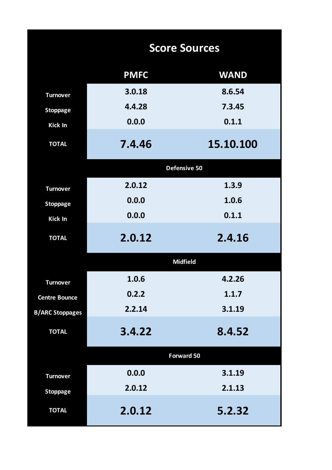|                        | <b>Score Sources</b> |                 |  |  |  |  |  |  |  |  |  |
|------------------------|----------------------|-----------------|--|--|--|--|--|--|--|--|--|
|                        | <b>PMFC</b>          | <b>WAND</b>     |  |  |  |  |  |  |  |  |  |
| <b>Turnover</b>        | 3.0.18               | 8.6.54          |  |  |  |  |  |  |  |  |  |
| <b>Stoppage</b>        | 4.4.28               | 7.3.45          |  |  |  |  |  |  |  |  |  |
| Kick In                | 0.0.0                | 0.1.1           |  |  |  |  |  |  |  |  |  |
| <b>TOTAL</b>           | 7.4.46               | 15.10.100       |  |  |  |  |  |  |  |  |  |
|                        |                      | Defensive 50    |  |  |  |  |  |  |  |  |  |
| <b>Turnover</b>        | 2.0.12               | 1.3.9           |  |  |  |  |  |  |  |  |  |
| <b>Stoppage</b>        | 0.0.0                | 1.0.6           |  |  |  |  |  |  |  |  |  |
| Kick In                | 0.0.0                | 0.1.1           |  |  |  |  |  |  |  |  |  |
| <b>TOTAL</b>           | 2.0.12               | 2.4.16          |  |  |  |  |  |  |  |  |  |
|                        |                      | <b>Midfield</b> |  |  |  |  |  |  |  |  |  |
| <b>Turnover</b>        | 1.0.6                | 4.2.26          |  |  |  |  |  |  |  |  |  |
| <b>Centre Bounce</b>   | 0.2.2                | 1.1.7           |  |  |  |  |  |  |  |  |  |
| <b>B/ARC Stoppages</b> | 2.2.14               | 3.1.19          |  |  |  |  |  |  |  |  |  |
| <b>TOTAL</b>           | 3.4.22               | 8.4.52          |  |  |  |  |  |  |  |  |  |
|                        |                      | Forward 50      |  |  |  |  |  |  |  |  |  |
| <b>Turnover</b>        | 0.0.0                | 3.1.19          |  |  |  |  |  |  |  |  |  |
| <b>Stoppage</b>        | 2.0.12               | 2.1.13          |  |  |  |  |  |  |  |  |  |
| <b>TOTAL</b>           | 2.0.12               | 5.2.32          |  |  |  |  |  |  |  |  |  |